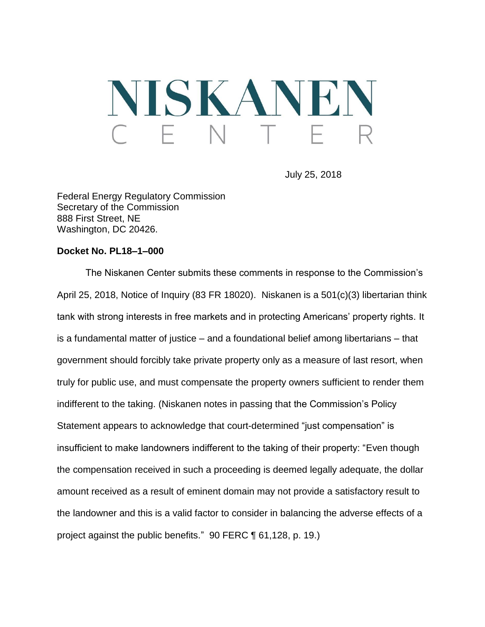# NISKANEN

July 25, 2018

Federal Energy Regulatory Commission Secretary of the Commission 888 First Street, NE Washington, DC 20426.

#### **Docket No. PL18–1–000**

The Niskanen Center submits these comments in response to the Commission's April 25, 2018, Notice of Inquiry (83 FR 18020). Niskanen is a 501(c)(3) libertarian think tank with strong interests in free markets and in protecting Americans' property rights. It is a fundamental matter of justice – and a foundational belief among libertarians – that government should forcibly take private property only as a measure of last resort, when truly for public use, and must compensate the property owners sufficient to render them indifferent to the taking. (Niskanen notes in passing that the Commission's Policy Statement appears to acknowledge that court-determined "just compensation" is insufficient to make landowners indifferent to the taking of their property: "Even though the compensation received in such a proceeding is deemed legally adequate, the dollar amount received as a result of eminent domain may not provide a satisfactory result to the landowner and this is a valid factor to consider in balancing the adverse effects of a project against the public benefits." 90 FERC ¶ 61,128, p. 19.)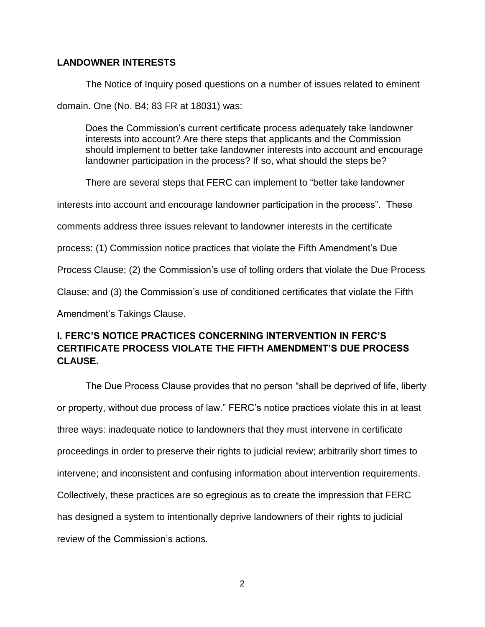#### **LANDOWNER INTERESTS**

The Notice of Inquiry posed questions on a number of issues related to eminent domain. One (No. B4; 83 FR at 18031) was:

Does the Commission's current certificate process adequately take landowner interests into account? Are there steps that applicants and the Commission should implement to better take landowner interests into account and encourage landowner participation in the process? If so, what should the steps be?

There are several steps that FERC can implement to "better take landowner

interests into account and encourage landowner participation in the process". These

comments address three issues relevant to landowner interests in the certificate

process: (1) Commission notice practices that violate the Fifth Amendment's Due

Process Clause; (2) the Commission's use of tolling orders that violate the Due Process

Clause; and (3) the Commission's use of conditioned certificates that violate the Fifth

Amendment's Takings Clause.

# **I. FERC'S NOTICE PRACTICES CONCERNING INTERVENTION IN FERC'S CERTIFICATE PROCESS VIOLATE THE FIFTH AMENDMENT'S DUE PROCESS CLAUSE.**

The Due Process Clause provides that no person "shall be deprived of life, liberty or property, without due process of law." FERC's notice practices violate this in at least three ways: inadequate notice to landowners that they must intervene in certificate proceedings in order to preserve their rights to judicial review; arbitrarily short times to intervene; and inconsistent and confusing information about intervention requirements. Collectively, these practices are so egregious as to create the impression that FERC has designed a system to intentionally deprive landowners of their rights to judicial review of the Commission's actions.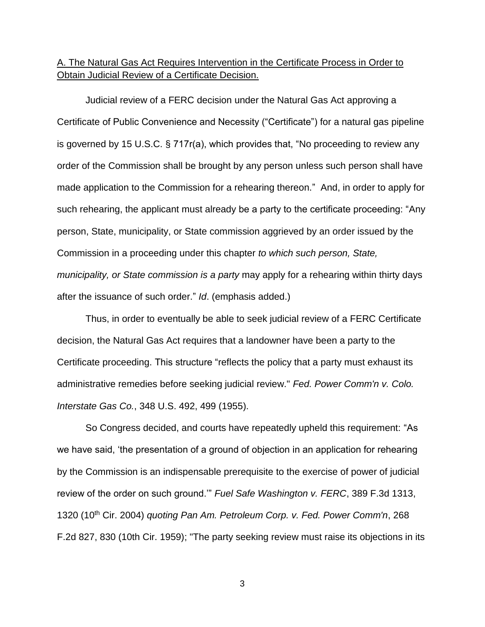## A. The Natural Gas Act Requires Intervention in the Certificate Process in Order to Obtain Judicial Review of a Certificate Decision.

Judicial review of a FERC decision under the Natural Gas Act approving a Certificate of Public Convenience and Necessity ("Certificate") for a natural gas pipeline is governed by 15 U.S.C. § 717r(a), which provides that, "No proceeding to review any order of the Commission shall be brought by any person unless such person shall have made application to the Commission for a rehearing thereon." And, in order to apply for such rehearing, the applicant must already be a party to the certificate proceeding: "Any person, State, municipality, or State commission aggrieved by an order issued by the Commission in a proceeding under this chapter *to which such person, State, municipality, or State commission is a party* may apply for a rehearing within thirty days after the issuance of such order." *Id*. (emphasis added.)

Thus, in order to eventually be able to seek judicial review of a FERC Certificate decision, the Natural Gas Act requires that a landowner have been a party to the Certificate proceeding. This structure "reflects the policy that a party must exhaust its administrative remedies before seeking judicial review." *Fed. Power Comm'n v. Colo. Interstate Gas Co.*, 348 U.S. 492, 499 (1955).

So Congress decided, and courts have repeatedly upheld this requirement: "As we have said, 'the presentation of a ground of objection in an application for rehearing by the Commission is an indispensable prerequisite to the exercise of power of judicial review of the order on such ground.'" *Fuel Safe Washington v. FERC*, 389 F.3d 1313, 1320 (10th Cir. 2004) *quoting Pan Am. Petroleum Corp. v. Fed. Power Comm'n*, 268 F.2d 827, 830 (10th Cir. 1959); "The party seeking review must raise its objections in its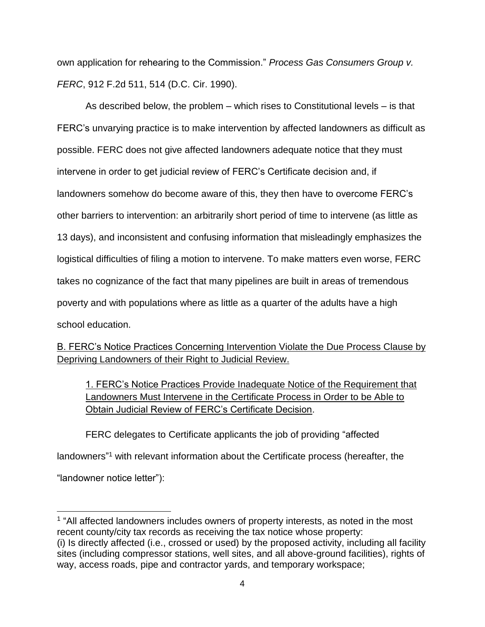own application for rehearing to the Commission." *Process Gas Consumers Group v. FERC*, 912 F.2d 511, 514 (D.C. Cir. 1990).

As described below, the problem – which rises to Constitutional levels – is that FERC's unvarying practice is to make intervention by affected landowners as difficult as possible. FERC does not give affected landowners adequate notice that they must intervene in order to get judicial review of FERC's Certificate decision and, if landowners somehow do become aware of this, they then have to overcome FERC's other barriers to intervention: an arbitrarily short period of time to intervene (as little as 13 days), and inconsistent and confusing information that misleadingly emphasizes the logistical difficulties of filing a motion to intervene. To make matters even worse, FERC takes no cognizance of the fact that many pipelines are built in areas of tremendous poverty and with populations where as little as a quarter of the adults have a high school education.

# B. FERC's Notice Practices Concerning Intervention Violate the Due Process Clause by Depriving Landowners of their Right to Judicial Review.

1. FERC's Notice Practices Provide Inadequate Notice of the Requirement that Landowners Must Intervene in the Certificate Process in Order to be Able to Obtain Judicial Review of FERC's Certificate Decision.

FERC delegates to Certificate applicants the job of providing "affected landowners" <sup>1</sup> with relevant information about the Certificate process (hereafter, the "landowner notice letter"):

 $\overline{a}$ <sup>1</sup> "All affected landowners includes owners of property interests, as noted in the most recent county/city tax records as receiving the tax notice whose property:

<sup>(</sup>i) Is directly affected (i.e., crossed or used) by the proposed activity, including all facility sites (including compressor stations, well sites, and all above-ground facilities), rights of way, access roads, pipe and contractor yards, and temporary workspace;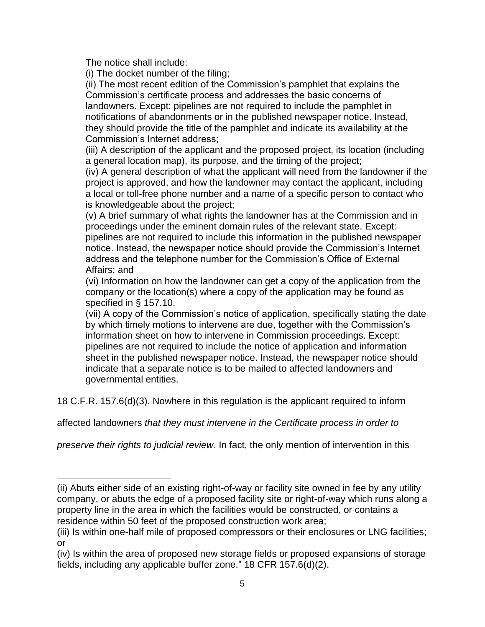The notice shall include:

 $\overline{a}$ 

(i) The docket number of the filing;

(ii) The most recent edition of the Commission's pamphlet that explains the Commission's certificate process and addresses the basic concerns of landowners. Except: pipelines are not required to include the pamphlet in notifications of abandonments or in the published newspaper notice. Instead, they should provide the title of the pamphlet and indicate its availability at the Commission's Internet address;

(iii) A description of the applicant and the proposed project, its location (including a general location map), its purpose, and the timing of the project;

(iv) A general description of what the applicant will need from the landowner if the project is approved, and how the landowner may contact the applicant, including a local or toll-free phone number and a name of a specific person to contact who is knowledgeable about the project;

(v) A brief summary of what rights the landowner has at the Commission and in proceedings under the eminent domain rules of the relevant state. Except: pipelines are not required to include this information in the published newspaper notice. Instead, the newspaper notice should provide the Commission's Internet address and the telephone number for the Commission's Office of External Affairs; and

(vi) Information on how the landowner can get a copy of the application from the company or the location(s) where a copy of the application may be found as specified in § 157.10.

(vii) A copy of the Commission's notice of application, specifically stating the date by which timely motions to intervene are due, together with the Commission's information sheet on how to intervene in Commission proceedings. Except: pipelines are not required to include the notice of application and information sheet in the published newspaper notice. Instead, the newspaper notice should indicate that a separate notice is to be mailed to affected landowners and governmental entities.

18 C.F.R. 157.6(d)(3). Nowhere in this regulation is the applicant required to inform

affected landowners *that they must intervene in the Certificate process in order to* 

*preserve their rights to judicial review*. In fact, the only mention of intervention in this

<sup>(</sup>ii) Abuts either side of an existing right-of-way or facility site owned in fee by any utility company, or abuts the edge of a proposed facility site or right-of-way which runs along a property line in the area in which the facilities would be constructed, or contains a residence within 50 feet of the proposed construction work area;

<sup>(</sup>iii) Is within one-half mile of proposed compressors or their enclosures or LNG facilities; or

<sup>(</sup>iv) Is within the area of proposed new storage fields or proposed expansions of storage fields, including any applicable buffer zone." 18 CFR 157.6(d)(2).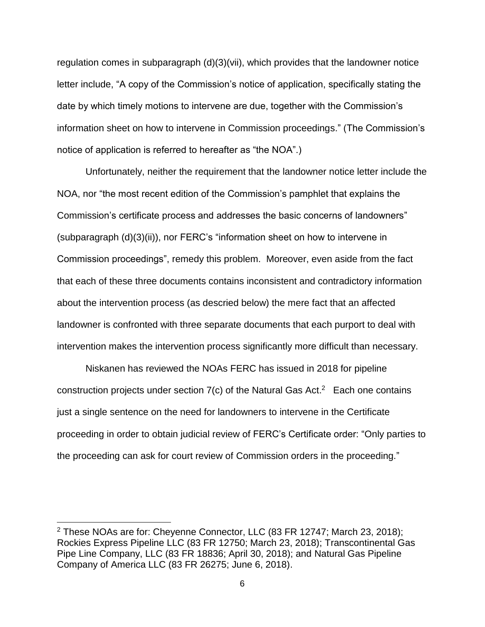regulation comes in subparagraph (d)(3)(vii), which provides that the landowner notice letter include, "A copy of the Commission's notice of application, specifically stating the date by which timely motions to intervene are due, together with the Commission's information sheet on how to intervene in Commission proceedings." (The Commission's notice of application is referred to hereafter as "the NOA".)

Unfortunately, neither the requirement that the landowner notice letter include the NOA, nor "the most recent edition of the Commission's pamphlet that explains the Commission's certificate process and addresses the basic concerns of landowners" (subparagraph (d)(3)(ii)), nor FERC's "information sheet on how to intervene in Commission proceedings", remedy this problem. Moreover, even aside from the fact that each of these three documents contains inconsistent and contradictory information about the intervention process (as descried below) the mere fact that an affected landowner is confronted with three separate documents that each purport to deal with intervention makes the intervention process significantly more difficult than necessary.

Niskanen has reviewed the NOAs FERC has issued in 2018 for pipeline construction projects under section  $7(c)$  of the Natural Gas Act.<sup>2</sup> Each one contains just a single sentence on the need for landowners to intervene in the Certificate proceeding in order to obtain judicial review of FERC's Certificate order: "Only parties to the proceeding can ask for court review of Commission orders in the proceeding."

 $\overline{a}$ 

<sup>2</sup> These NOAs are for: Cheyenne Connector, LLC (83 FR 12747; March 23, 2018); Rockies Express Pipeline LLC (83 FR 12750; March 23, 2018); Transcontinental Gas Pipe Line Company, LLC (83 FR 18836; April 30, 2018); and Natural Gas Pipeline Company of America LLC (83 FR 26275; June 6, 2018).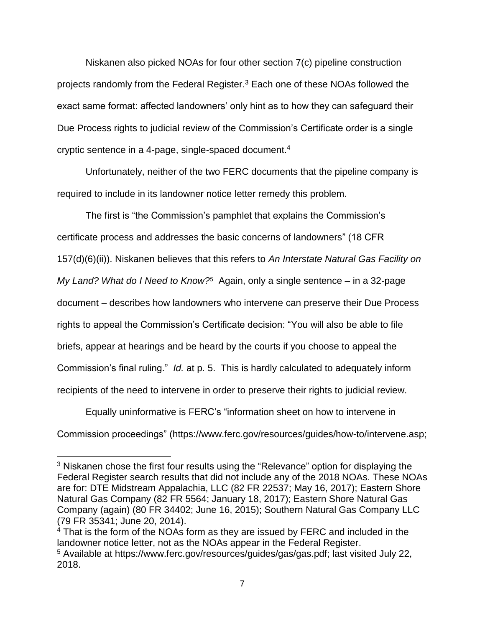Niskanen also picked NOAs for four other section 7(c) pipeline construction projects randomly from the Federal Register.<sup>3</sup> Each one of these NOAs followed the exact same format: affected landowners' only hint as to how they can safeguard their Due Process rights to judicial review of the Commission's Certificate order is a single cryptic sentence in a 4-page, single-spaced document. 4

Unfortunately, neither of the two FERC documents that the pipeline company is required to include in its landowner notice letter remedy this problem.

The first is "the Commission's pamphlet that explains the Commission's certificate process and addresses the basic concerns of landowners" (18 CFR 157(d)(6)(ii)). Niskanen believes that this refers to *An Interstate Natural Gas Facility on My Land? What do I Need to Know?<sup>5</sup>* Again, only a single sentence – in a 32-page document – describes how landowners who intervene can preserve their Due Process rights to appeal the Commission's Certificate decision: "You will also be able to file briefs, appear at hearings and be heard by the courts if you choose to appeal the Commission's final ruling." *Id.* at p. 5. This is hardly calculated to adequately inform recipients of the need to intervene in order to preserve their rights to judicial review.

Equally uninformative is FERC's "information sheet on how to intervene in Commission proceedings" (https://www.ferc.gov/resources/guides/how-to/intervene.asp;

 $\overline{a}$ 

<sup>&</sup>lt;sup>3</sup> Niskanen chose the first four results using the "Relevance" option for displaying the Federal Register search results that did not include any of the 2018 NOAs. These NOAs are for: DTE Midstream Appalachia, LLC (82 FR 22537; May 16, 2017); Eastern Shore Natural Gas Company (82 FR 5564; January 18, 2017); Eastern Shore Natural Gas Company (again) (80 FR 34402; June 16, 2015); Southern Natural Gas Company LLC (79 FR 35341; June 20, 2014).

 $4$  That is the form of the NOAs form as they are issued by FERC and included in the landowner notice letter, not as the NOAs appear in the Federal Register. <sup>5</sup> Available at https://www.ferc.gov/resources/guides/gas/gas.pdf; last visited July 22, 2018.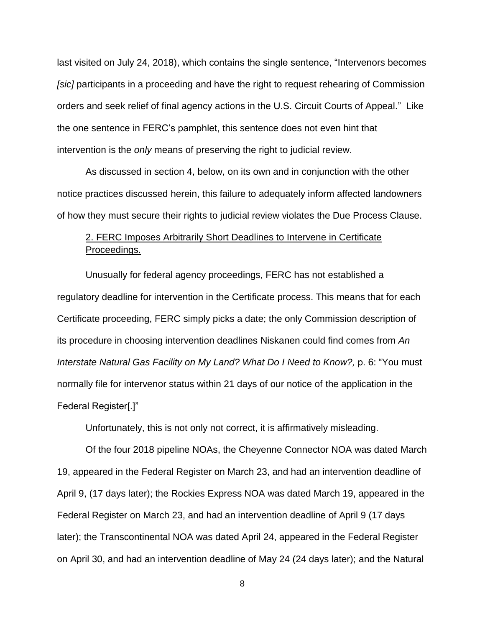last visited on July 24, 2018), which contains the single sentence, "Intervenors becomes *[sic]* participants in a proceeding and have the right to request rehearing of Commission orders and seek relief of final agency actions in the U.S. Circuit Courts of Appeal." Like the one sentence in FERC's pamphlet, this sentence does not even hint that intervention is the *only* means of preserving the right to judicial review.

As discussed in section 4, below, on its own and in conjunction with the other notice practices discussed herein, this failure to adequately inform affected landowners of how they must secure their rights to judicial review violates the Due Process Clause.

# 2. FERC Imposes Arbitrarily Short Deadlines to Intervene in Certificate Proceedings.

Unusually for federal agency proceedings, FERC has not established a regulatory deadline for intervention in the Certificate process. This means that for each Certificate proceeding, FERC simply picks a date; the only Commission description of its procedure in choosing intervention deadlines Niskanen could find comes from *An Interstate Natural Gas Facility on My Land? What Do I Need to Know?,* p. 6: "You must normally file for intervenor status within 21 days of our notice of the application in the Federal Register[.]"

Unfortunately, this is not only not correct, it is affirmatively misleading.

Of the four 2018 pipeline NOAs, the Cheyenne Connector NOA was dated March 19, appeared in the Federal Register on March 23, and had an intervention deadline of April 9, (17 days later); the Rockies Express NOA was dated March 19, appeared in the Federal Register on March 23, and had an intervention deadline of April 9 (17 days later); the Transcontinental NOA was dated April 24, appeared in the Federal Register on April 30, and had an intervention deadline of May 24 (24 days later); and the Natural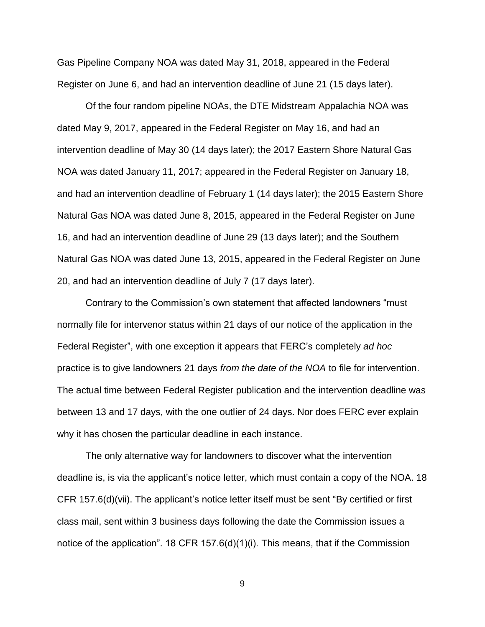Gas Pipeline Company NOA was dated May 31, 2018, appeared in the Federal Register on June 6, and had an intervention deadline of June 21 (15 days later).

Of the four random pipeline NOAs, the DTE Midstream Appalachia NOA was dated May 9, 2017, appeared in the Federal Register on May 16, and had an intervention deadline of May 30 (14 days later); the 2017 Eastern Shore Natural Gas NOA was dated January 11, 2017; appeared in the Federal Register on January 18, and had an intervention deadline of February 1 (14 days later); the 2015 Eastern Shore Natural Gas NOA was dated June 8, 2015, appeared in the Federal Register on June 16, and had an intervention deadline of June 29 (13 days later); and the Southern Natural Gas NOA was dated June 13, 2015, appeared in the Federal Register on June 20, and had an intervention deadline of July 7 (17 days later).

Contrary to the Commission's own statement that affected landowners "must normally file for intervenor status within 21 days of our notice of the application in the Federal Register", with one exception it appears that FERC's completely *ad hoc* practice is to give landowners 21 days *from the date of the NOA* to file for intervention. The actual time between Federal Register publication and the intervention deadline was between 13 and 17 days, with the one outlier of 24 days. Nor does FERC ever explain why it has chosen the particular deadline in each instance.

The only alternative way for landowners to discover what the intervention deadline is, is via the applicant's notice letter, which must contain a copy of the NOA. 18 CFR 157.6(d)(vii). The applicant's notice letter itself must be sent "By certified or first class mail, sent within 3 business days following the date the Commission issues a notice of the application". 18 CFR 157.6(d)(1)(i). This means, that if the Commission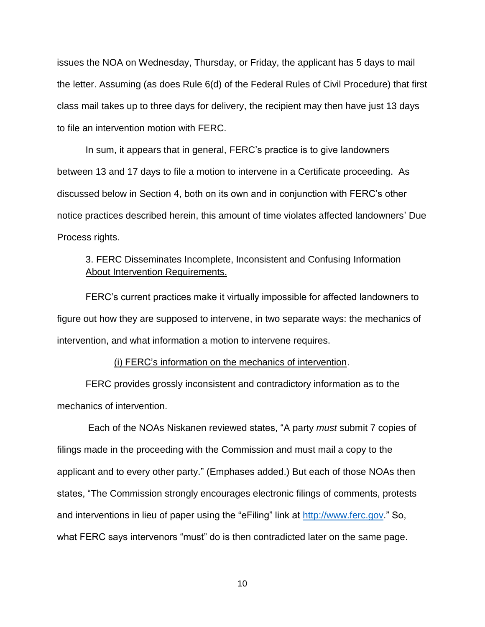issues the NOA on Wednesday, Thursday, or Friday, the applicant has 5 days to mail the letter. Assuming (as does Rule 6(d) of the Federal Rules of Civil Procedure) that first class mail takes up to three days for delivery, the recipient may then have just 13 days to file an intervention motion with FERC.

In sum, it appears that in general, FERC's practice is to give landowners between 13 and 17 days to file a motion to intervene in a Certificate proceeding. As discussed below in Section 4, both on its own and in conjunction with FERC's other notice practices described herein, this amount of time violates affected landowners' Due Process rights.

# 3. FERC Disseminates Incomplete, Inconsistent and Confusing Information About Intervention Requirements.

FERC's current practices make it virtually impossible for affected landowners to figure out how they are supposed to intervene, in two separate ways: the mechanics of intervention, and what information a motion to intervene requires.

#### (i) FERC's information on the mechanics of intervention.

FERC provides grossly inconsistent and contradictory information as to the mechanics of intervention.

Each of the NOAs Niskanen reviewed states, "A party *must* submit 7 copies of filings made in the proceeding with the Commission and must mail a copy to the applicant and to every other party." (Emphases added.) But each of those NOAs then states, "The Commission strongly encourages electronic filings of comments, protests and interventions in lieu of paper using the "eFiling" link at [http://www.ferc.gov.](http://www.ferc.gov/)" So, what FERC says intervenors "must" do is then contradicted later on the same page.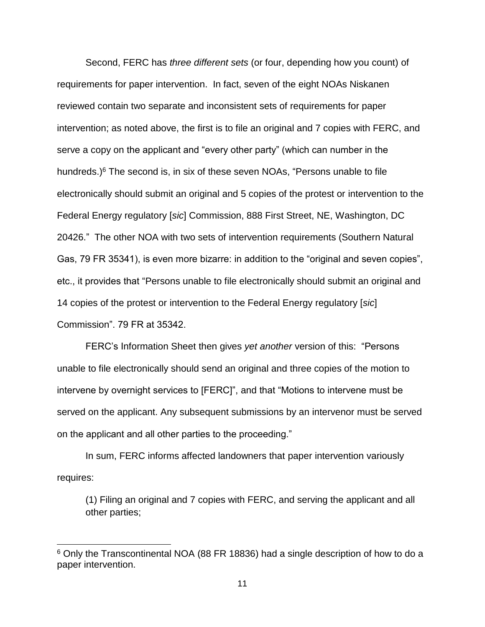Second, FERC has *three different sets* (or four, depending how you count) of requirements for paper intervention. In fact, seven of the eight NOAs Niskanen reviewed contain two separate and inconsistent sets of requirements for paper intervention; as noted above, the first is to file an original and 7 copies with FERC, and serve a copy on the applicant and "every other party" (which can number in the hundreds.) $6$  The second is, in six of these seven NOAs, "Persons unable to file electronically should submit an original and 5 copies of the protest or intervention to the Federal Energy regulatory [*sic*] Commission, 888 First Street, NE, Washington, DC 20426." The other NOA with two sets of intervention requirements (Southern Natural Gas, 79 FR 35341), is even more bizarre: in addition to the "original and seven copies", etc., it provides that "Persons unable to file electronically should submit an original and 14 copies of the protest or intervention to the Federal Energy regulatory [*sic*] Commission". 79 FR at 35342.

FERC's Information Sheet then gives *yet another* version of this: "Persons unable to file electronically should send an original and three copies of the motion to intervene by overnight services to [FERC]", and that "Motions to intervene must be served on the applicant. Any subsequent submissions by an intervenor must be served on the applicant and all other parties to the proceeding."

In sum, FERC informs affected landowners that paper intervention variously requires:

(1) Filing an original and 7 copies with FERC, and serving the applicant and all other parties;

<sup>6</sup> Only the Transcontinental NOA (88 FR 18836) had a single description of how to do a paper intervention.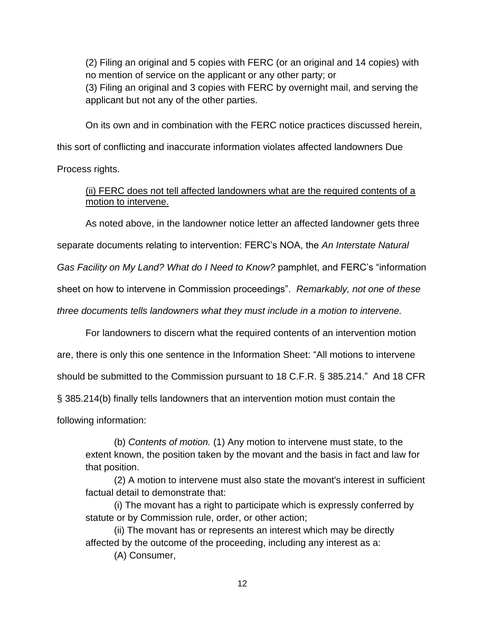(2) Filing an original and 5 copies with FERC (or an original and 14 copies) with no mention of service on the applicant or any other party; or

(3) Filing an original and 3 copies with FERC by overnight mail, and serving the applicant but not any of the other parties.

On its own and in combination with the FERC notice practices discussed herein, this sort of conflicting and inaccurate information violates affected landowners Due

Process rights.

(ii) FERC does not tell affected landowners what are the required contents of a motion to intervene.

As noted above, in the landowner notice letter an affected landowner gets three

separate documents relating to intervention: FERC's NOA, the *An Interstate Natural* 

*Gas Facility on My Land? What do I Need to Know?* pamphlet, and FERC's "information

sheet on how to intervene in Commission proceedings". *Remarkably, not one of these* 

*three documents tells landowners what they must include in a motion to intervene.*

For landowners to discern what the required contents of an intervention motion are, there is only this one sentence in the Information Sheet: "All motions to intervene should be submitted to the Commission pursuant to 18 C.F.R. § 385.214." And 18 CFR § 385.214(b) finally tells landowners that an intervention motion must contain the following information:

(b) *Contents of motion.* (1) Any motion to intervene must state, to the extent known, the position taken by the movant and the basis in fact and law for that position.

(2) A motion to intervene must also state the movant's interest in sufficient factual detail to demonstrate that:

(i) The movant has a right to participate which is expressly conferred by statute or by Commission rule, order, or other action;

(ii) The movant has or represents an interest which may be directly affected by the outcome of the proceeding, including any interest as a:

(A) Consumer,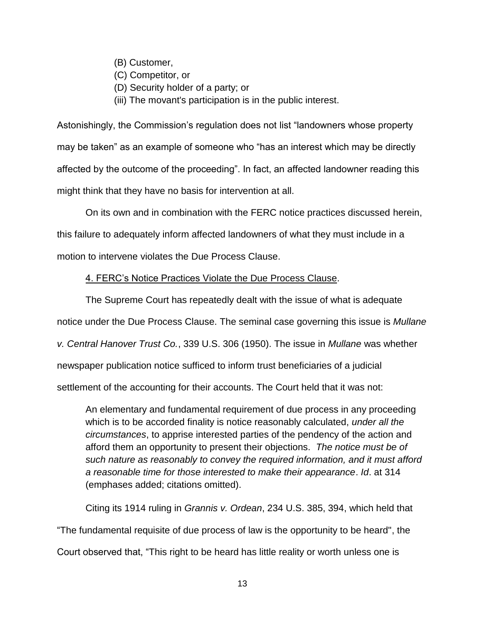- (B) Customer,
- (C) Competitor, or
- (D) Security holder of a party; or
- (iii) The movant's participation is in the public interest.

Astonishingly, the Commission's regulation does not list "landowners whose property may be taken" as an example of someone who "has an interest which may be directly affected by the outcome of the proceeding". In fact, an affected landowner reading this might think that they have no basis for intervention at all.

On its own and in combination with the FERC notice practices discussed herein, this failure to adequately inform affected landowners of what they must include in a motion to intervene violates the Due Process Clause.

#### 4. FERC's Notice Practices Violate the Due Process Clause.

The Supreme Court has repeatedly dealt with the issue of what is adequate notice under the Due Process Clause. The seminal case governing this issue is *Mullane v. Central Hanover Trust Co.*, 339 U.S. 306 (1950). The issue in *Mullane* was whether newspaper publication notice sufficed to inform trust beneficiaries of a judicial settlement of the accounting for their accounts. The Court held that it was not:

An elementary and fundamental requirement of due process in any proceeding which is to be accorded finality is notice reasonably calculated, *under all the circumstances*, to apprise interested parties of the pendency of the action and afford them an opportunity to present their objections. *The notice must be of such nature as reasonably to convey the required information, and it must afford a reasonable time for those interested to make their appearance*. *Id*. at 314 (emphases added; citations omitted).

Citing its 1914 ruling in *Grannis v. Ordean*, 234 U.S. 385, 394, which held that "The fundamental requisite of due process of law is the opportunity to be heard", the Court observed that, "This right to be heard has little reality or worth unless one is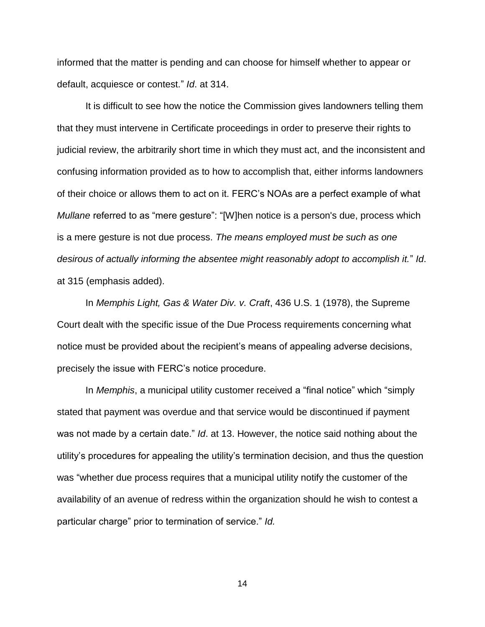informed that the matter is pending and can choose for himself whether to appear or default, acquiesce or contest." *Id*. at 314.

It is difficult to see how the notice the Commission gives landowners telling them that they must intervene in Certificate proceedings in order to preserve their rights to judicial review, the arbitrarily short time in which they must act, and the inconsistent and confusing information provided as to how to accomplish that, either informs landowners of their choice or allows them to act on it. FERC's NOAs are a perfect example of what *Mullane* referred to as "mere gesture": "[W]hen notice is a person's due, process which is a mere gesture is not due process. *The means employed must be such as one desirous of actually informing the absentee might reasonably adopt to accomplish it.*" *Id*. at 315 (emphasis added).

In *Memphis Light, Gas & Water Div. v. Craft*, 436 U.S. 1 (1978), the Supreme Court dealt with the specific issue of the Due Process requirements concerning what notice must be provided about the recipient's means of appealing adverse decisions, precisely the issue with FERC's notice procedure.

In *Memphis*, a municipal utility customer received a "final notice" which "simply stated that payment was overdue and that service would be discontinued if payment was not made by a certain date." *Id*. at 13. However, the notice said nothing about the utility's procedures for appealing the utility's termination decision, and thus the question was "whether due process requires that a municipal utility notify the customer of the availability of an avenue of redress within the organization should he wish to contest a particular charge" prior to termination of service." *Id.*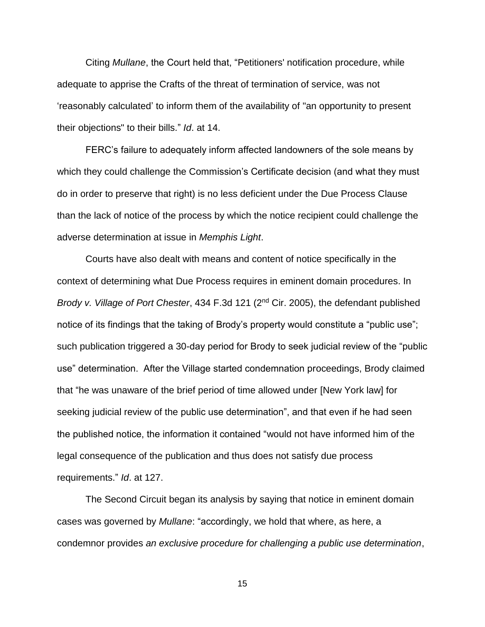Citing *Mullane*, the Court held that, "Petitioners' notification procedure, while adequate to apprise the Crafts of the threat of termination of service, was not 'reasonably calculated' to inform them of the availability of "an opportunity to present their objections" to their bills." *Id*. at 14.

FERC's failure to adequately inform affected landowners of the sole means by which they could challenge the Commission's Certificate decision (and what they must do in order to preserve that right) is no less deficient under the Due Process Clause than the lack of notice of the process by which the notice recipient could challenge the adverse determination at issue in *Memphis Light*.

Courts have also dealt with means and content of notice specifically in the context of determining what Due Process requires in eminent domain procedures. In *Brody v. Village of Port Chester*, 434 F.3d 121 (2nd Cir. 2005), the defendant published notice of its findings that the taking of Brody's property would constitute a "public use"; such publication triggered a 30-day period for Brody to seek judicial review of the "public use" determination. After the Village started condemnation proceedings, Brody claimed that "he was unaware of the brief period of time allowed under [New York law] for seeking judicial review of the public use determination", and that even if he had seen the published notice, the information it contained "would not have informed him of the legal consequence of the publication and thus does not satisfy due process requirements." *Id*. at 127.

The Second Circuit began its analysis by saying that notice in eminent domain cases was governed by *Mullane*: "accordingly, we hold that where, as here, a condemnor provides *an exclusive procedure for challenging a public use determination*,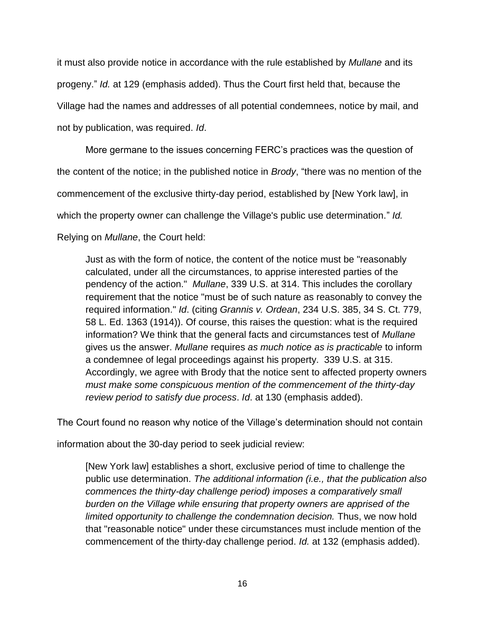it must also provide notice in accordance with the rule established by *Mullane* and its progeny." *Id.* at 129 (emphasis added). Thus the Court first held that, because the Village had the names and addresses of all potential condemnees, notice by mail, and not by publication, was required. *Id*.

More germane to the issues concerning FERC's practices was the question of the content of the notice; in the published notice in *Brody*, "there was no mention of the commencement of the exclusive thirty-day period, established by [New York law], in which the property owner can challenge the Village's public use determination." *Id.* Relying on *Mullane*, the Court held:

Just as with the form of notice, the content of the notice must be "reasonably calculated, under all the circumstances, to apprise interested parties of the pendency of the action." *Mullane*, 339 U.S. at 314. This includes the corollary requirement that the notice "must be of such nature as reasonably to convey the required information." *Id*. (citing *Grannis v. Ordean*, 234 U.S. 385, 34 S. Ct. 779, 58 L. Ed. 1363 (1914)). Of course, this raises the question: what is the required information? We think that the general facts and circumstances test of *Mullane*  gives us the answer. *Mullane* requires *as much notice as is practicable* to inform a condemnee of legal proceedings against his property. 339 U.S. at 315. Accordingly, we agree with Brody that the notice sent to affected property owners *must make some conspicuous mention of the commencement of the thirty-day review period to satisfy due process*. *Id*. at 130 (emphasis added).

The Court found no reason why notice of the Village's determination should not contain

information about the 30-day period to seek judicial review:

[New York law] establishes a short, exclusive period of time to challenge the public use determination. *The additional information (i.e., that the publication also commences the thirty-day challenge period) imposes a comparatively small burden on the Village while ensuring that property owners are apprised of the limited opportunity to challenge the condemnation decision.* Thus, we now hold that "reasonable notice" under these circumstances must include mention of the commencement of the thirty-day challenge period. *Id.* at 132 (emphasis added).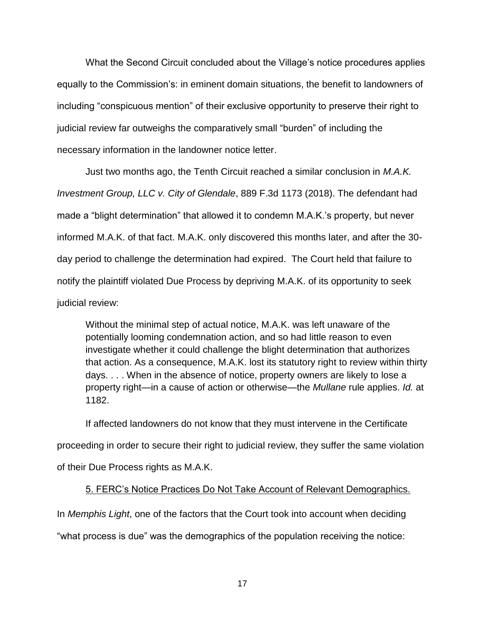What the Second Circuit concluded about the Village's notice procedures applies equally to the Commission's: in eminent domain situations, the benefit to landowners of including "conspicuous mention" of their exclusive opportunity to preserve their right to judicial review far outweighs the comparatively small "burden" of including the necessary information in the landowner notice letter.

Just two months ago, the Tenth Circuit reached a similar conclusion in *M.A.K. Investment Group, LLC v. City of Glendale*, 889 F.3d 1173 (2018). The defendant had made a "blight determination" that allowed it to condemn M.A.K.'s property, but never informed M.A.K. of that fact. M.A.K. only discovered this months later, and after the 30 day period to challenge the determination had expired. The Court held that failure to notify the plaintiff violated Due Process by depriving M.A.K. of its opportunity to seek judicial review:

Without the minimal step of actual notice, M.A.K. was left unaware of the potentially looming condemnation action, and so had little reason to even investigate whether it could challenge the blight determination that authorizes that action. As a consequence, M.A.K. lost its statutory right to review within thirty days. . . . When in the absence of notice, property owners are likely to lose a property right—in a cause of action or otherwise—the *Mullane* rule applies. *Id.* at 1182.

If affected landowners do not know that they must intervene in the Certificate proceeding in order to secure their right to judicial review, they suffer the same violation of their Due Process rights as M.A.K.

#### 5. FERC's Notice Practices Do Not Take Account of Relevant Demographics.

In *Memphis Light*, one of the factors that the Court took into account when deciding "what process is due" was the demographics of the population receiving the notice: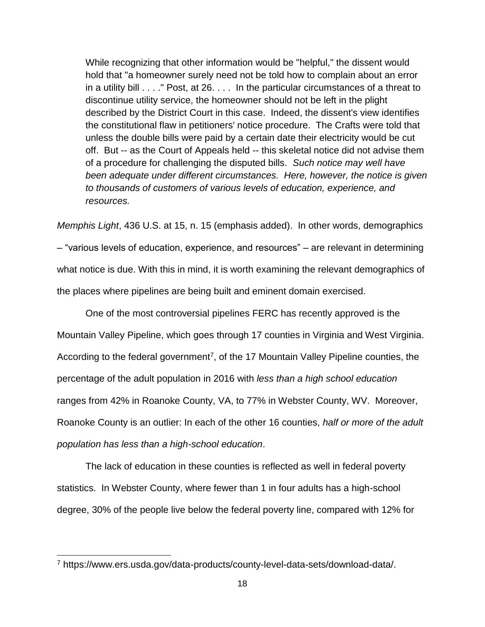While recognizing that other information would be "helpful," the dissent would hold that "a homeowner surely need not be told how to complain about an error in a utility bill . . . ." Post, at 26. . . . In the particular circumstances of a threat to discontinue utility service, the homeowner should not be left in the plight described by the District Court in this case. Indeed, the dissent's view identifies the constitutional flaw in petitioners' notice procedure. The Crafts were told that unless the double bills were paid by a certain date their electricity would be cut off. But -- as the Court of Appeals held -- this skeletal notice did not advise them of a procedure for challenging the disputed bills. *Such notice may well have been adequate under different circumstances. Here, however, the notice is given to thousands of customers of various levels of education, experience, and resources.*

*Memphis Light*, 436 U.S. at 15, n. 15 (emphasis added). In other words, demographics – "various levels of education, experience, and resources" – are relevant in determining what notice is due. With this in mind, it is worth examining the relevant demographics of the places where pipelines are being built and eminent domain exercised.

One of the most controversial pipelines FERC has recently approved is the Mountain Valley Pipeline, which goes through 17 counties in Virginia and West Virginia. According to the federal government<sup>7</sup>, of the 17 Mountain Valley Pipeline counties, the percentage of the adult population in 2016 with *less than a high school education* ranges from 42% in Roanoke County, VA, to 77% in Webster County, WV. Moreover, Roanoke County is an outlier: In each of the other 16 counties, *half or more of the adult population has less than a high-school education*.

The lack of education in these counties is reflected as well in federal poverty statistics. In Webster County, where fewer than 1 in four adults has a high-school degree, 30% of the people live below the federal poverty line, compared with 12% for

<sup>7</sup> https://www.ers.usda.gov/data-products/county-level-data-sets/download-data/.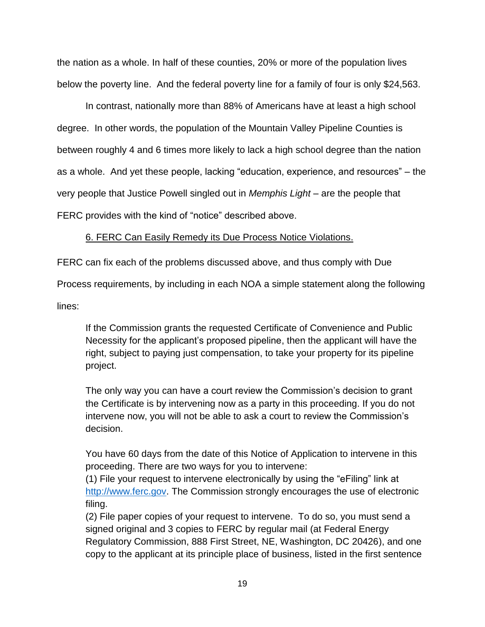the nation as a whole. In half of these counties, 20% or more of the population lives below the poverty line. And the federal poverty line for a family of four is only \$24,563.

In contrast, nationally more than 88% of Americans have at least a high school degree. In other words, the population of the Mountain Valley Pipeline Counties is between roughly 4 and 6 times more likely to lack a high school degree than the nation as a whole. And yet these people, lacking "education, experience, and resources" – the very people that Justice Powell singled out in *Memphis Light* – are the people that FERC provides with the kind of "notice" described above.

## 6. FERC Can Easily Remedy its Due Process Notice Violations.

FERC can fix each of the problems discussed above, and thus comply with Due

Process requirements, by including in each NOA a simple statement along the following

lines:

If the Commission grants the requested Certificate of Convenience and Public Necessity for the applicant's proposed pipeline, then the applicant will have the right, subject to paying just compensation, to take your property for its pipeline project.

The only way you can have a court review the Commission's decision to grant the Certificate is by intervening now as a party in this proceeding. If you do not intervene now, you will not be able to ask a court to review the Commission's decision.

You have 60 days from the date of this Notice of Application to intervene in this proceeding. There are two ways for you to intervene:

(1) File your request to intervene electronically by using the "eFiling" link at [http://www.ferc.gov.](http://www.ferc.gov/) The Commission strongly encourages the use of electronic filing.

(2) File paper copies of your request to intervene. To do so, you must send a signed original and 3 copies to FERC by regular mail (at Federal Energy Regulatory Commission, 888 First Street, NE, Washington, DC 20426), and one copy to the applicant at its principle place of business, listed in the first sentence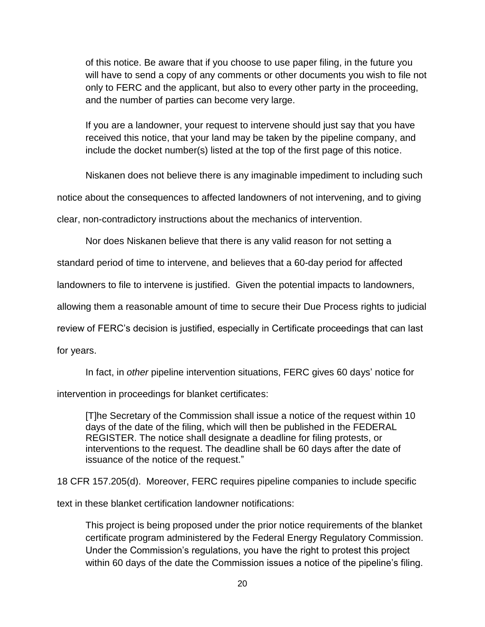of this notice. Be aware that if you choose to use paper filing, in the future you will have to send a copy of any comments or other documents you wish to file not only to FERC and the applicant, but also to every other party in the proceeding, and the number of parties can become very large.

If you are a landowner, your request to intervene should just say that you have received this notice, that your land may be taken by the pipeline company, and include the docket number(s) listed at the top of the first page of this notice.

Niskanen does not believe there is any imaginable impediment to including such

notice about the consequences to affected landowners of not intervening, and to giving

clear, non-contradictory instructions about the mechanics of intervention.

Nor does Niskanen believe that there is any valid reason for not setting a

standard period of time to intervene, and believes that a 60-day period for affected

landowners to file to intervene is justified. Given the potential impacts to landowners,

allowing them a reasonable amount of time to secure their Due Process rights to judicial

review of FERC's decision is justified, especially in Certificate proceedings that can last

for years.

In fact, in *other* pipeline intervention situations, FERC gives 60 days' notice for

intervention in proceedings for blanket certificates:

[T]he Secretary of the Commission shall issue a notice of the request within 10 days of the date of the filing, which will then be published in the FEDERAL REGISTER. The notice shall designate a deadline for filing protests, or interventions to the request. The deadline shall be 60 days after the date of issuance of the notice of the request."

18 CFR 157.205(d). Moreover, FERC requires pipeline companies to include specific

text in these blanket certification landowner notifications:

This project is being proposed under the prior notice requirements of the blanket certificate program administered by the Federal Energy Regulatory Commission. Under the Commission's regulations, you have the right to protest this project within 60 days of the date the Commission issues a notice of the pipeline's filing.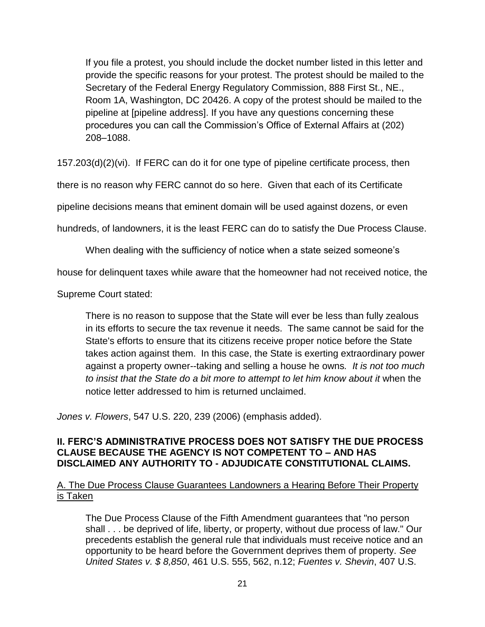If you file a protest, you should include the docket number listed in this letter and provide the specific reasons for your protest. The protest should be mailed to the Secretary of the Federal Energy Regulatory Commission, 888 First St., NE., Room 1A, Washington, DC 20426. A copy of the protest should be mailed to the pipeline at [pipeline address]. If you have any questions concerning these procedures you can call the Commission's Office of External Affairs at (202) 208–1088.

157.203(d)(2)(vi). If FERC can do it for one type of pipeline certificate process, then

there is no reason why FERC cannot do so here. Given that each of its Certificate

pipeline decisions means that eminent domain will be used against dozens, or even

hundreds, of landowners, it is the least FERC can do to satisfy the Due Process Clause.

When dealing with the sufficiency of notice when a state seized someone's

house for delinquent taxes while aware that the homeowner had not received notice, the

Supreme Court stated:

There is no reason to suppose that the State will ever be less than fully zealous in its efforts to secure the tax revenue it needs. The same cannot be said for the State's efforts to ensure that its citizens receive proper notice before the State takes action against them. In this case, the State is exerting extraordinary power against a property owner--taking and selling a house he owns*. It is not too much to insist that the State do a bit more to attempt to let him know about it* when the notice letter addressed to him is returned unclaimed.

*Jones v. Flowers*, 547 U.S. 220, 239 (2006) (emphasis added).

#### **II. FERC'S ADMINISTRATIVE PROCESS DOES NOT SATISFY THE DUE PROCESS CLAUSE BECAUSE THE AGENCY IS NOT COMPETENT TO – AND HAS DISCLAIMED ANY AUTHORITY TO - ADJUDICATE CONSTITUTIONAL CLAIMS.**

## A. The Due Process Clause Guarantees Landowners a Hearing Before Their Property is Taken

The Due Process Clause of the Fifth Amendment guarantees that "no person shall . . . be deprived of life, liberty, or property, without due process of law." Our precedents establish the general rule that individuals must receive notice and an opportunity to be heard before the Government deprives them of property. *See United States v. \$ 8,850*, 461 U.S. 555, 562, n.12; *Fuentes v. Shevin*, 407 U.S.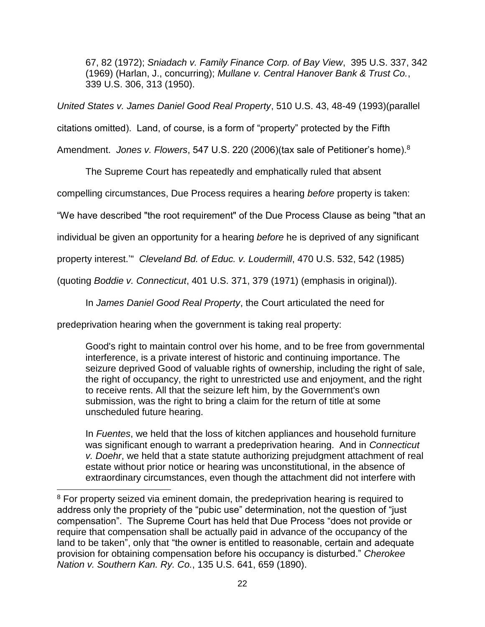67, 82 (1972); *Sniadach v. Family Finance Corp. of Bay View*, 395 U.S. 337, 342 (1969) (Harlan, J., concurring); *Mullane v. Central Hanover Bank & Trust Co.*, 339 U.S. 306, 313 (1950).

*United States v. James Daniel Good Real Property*, 510 U.S. 43, 48-49 (1993)(parallel

citations omitted). Land, of course, is a form of "property" protected by the Fifth

Amendment. *Jones v. Flowers*, 547 U.S. 220 (2006)(tax sale of Petitioner's home).<sup>8</sup>

The Supreme Court has repeatedly and emphatically ruled that absent

compelling circumstances, Due Process requires a hearing *before* property is taken:

"We have described "the root requirement" of the Due Process Clause as being "that an

individual be given an opportunity for a hearing *before* he is deprived of any significant

property interest.'" *Cleveland Bd. of Educ. v. Loudermill*, 470 U.S. 532, 542 (1985)

(quoting *Boddie v. Connecticut*, 401 U.S. 371, 379 (1971) (emphasis in original)).

In *James Daniel Good Real Property*, the Court articulated the need for

predeprivation hearing when the government is taking real property:

Good's right to maintain control over his home, and to be free from governmental interference, is a private interest of historic and continuing importance. The seizure deprived Good of valuable rights of ownership, including the right of sale, the right of occupancy, the right to unrestricted use and enjoyment, and the right to receive rents. All that the seizure left him, by the Government's own submission, was the right to bring a claim for the return of title at some unscheduled future hearing.

In *Fuentes*, we held that the loss of kitchen appliances and household furniture was significant enough to warrant a predeprivation hearing. And in *Connecticut v. Doehr*, we held that a state statute authorizing prejudgment attachment of real estate without prior notice or hearing was unconstitutional, in the absence of extraordinary circumstances, even though the attachment did not interfere with

<sup>&</sup>lt;sup>8</sup> For property seized via eminent domain, the predeprivation hearing is required to address only the propriety of the "pubic use" determination, not the question of "just compensation". The Supreme Court has held that Due Process "does not provide or require that compensation shall be actually paid in advance of the occupancy of the land to be taken", only that "the owner is entitled to reasonable, certain and adequate provision for obtaining compensation before his occupancy is disturbed." *Cherokee Nation v. Southern Kan. Ry. Co.*, 135 U.S. 641, 659 (1890).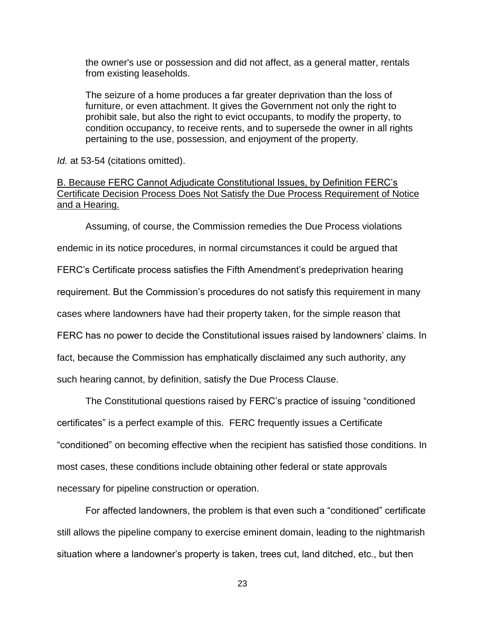the owner's use or possession and did not affect, as a general matter, rentals from existing leaseholds.

The seizure of a home produces a far greater deprivation than the loss of furniture, or even attachment. It gives the Government not only the right to prohibit sale, but also the right to evict occupants, to modify the property, to condition occupancy, to receive rents, and to supersede the owner in all rights pertaining to the use, possession, and enjoyment of the property.

*Id.* at 53-54 (citations omitted).

#### B. Because FERC Cannot Adjudicate Constitutional Issues, by Definition FERC's Certificate Decision Process Does Not Satisfy the Due Process Requirement of Notice and a Hearing.

Assuming, of course, the Commission remedies the Due Process violations endemic in its notice procedures, in normal circumstances it could be argued that FERC's Certificate process satisfies the Fifth Amendment's predeprivation hearing requirement. But the Commission's procedures do not satisfy this requirement in many cases where landowners have had their property taken, for the simple reason that FERC has no power to decide the Constitutional issues raised by landowners' claims. In fact, because the Commission has emphatically disclaimed any such authority, any such hearing cannot, by definition, satisfy the Due Process Clause.

The Constitutional questions raised by FERC's practice of issuing "conditioned certificates" is a perfect example of this. FERC frequently issues a Certificate "conditioned" on becoming effective when the recipient has satisfied those conditions. In most cases, these conditions include obtaining other federal or state approvals necessary for pipeline construction or operation.

For affected landowners, the problem is that even such a "conditioned" certificate still allows the pipeline company to exercise eminent domain, leading to the nightmarish situation where a landowner's property is taken, trees cut, land ditched, etc., but then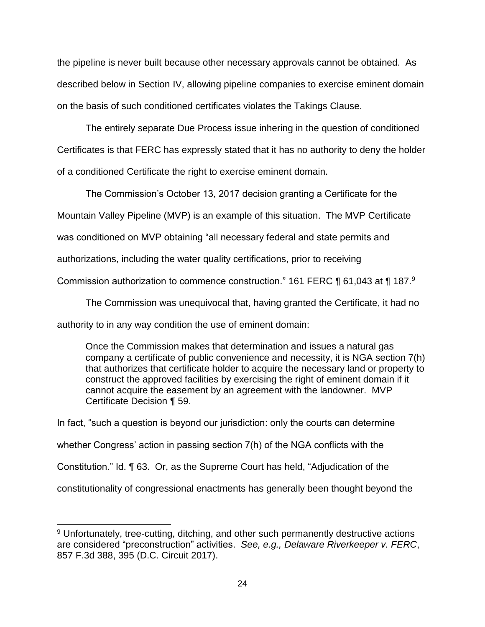the pipeline is never built because other necessary approvals cannot be obtained. As described below in Section IV, allowing pipeline companies to exercise eminent domain on the basis of such conditioned certificates violates the Takings Clause.

The entirely separate Due Process issue inhering in the question of conditioned Certificates is that FERC has expressly stated that it has no authority to deny the holder of a conditioned Certificate the right to exercise eminent domain.

The Commission's October 13, 2017 decision granting a Certificate for the

Mountain Valley Pipeline (MVP) is an example of this situation. The MVP Certificate

was conditioned on MVP obtaining "all necessary federal and state permits and

authorizations, including the water quality certifications, prior to receiving

Commission authorization to commence construction." 161 FERC ¶ 61,043 at ¶ 187.<sup>9</sup>

The Commission was unequivocal that, having granted the Certificate, it had no

authority to in any way condition the use of eminent domain:

 $\overline{a}$ 

Once the Commission makes that determination and issues a natural gas company a certificate of public convenience and necessity, it is NGA section 7(h) that authorizes that certificate holder to acquire the necessary land or property to construct the approved facilities by exercising the right of eminent domain if it cannot acquire the easement by an agreement with the landowner. MVP Certificate Decision ¶ 59.

In fact, "such a question is beyond our jurisdiction: only the courts can determine whether Congress' action in passing section 7(h) of the NGA conflicts with the Constitution." Id. ¶ 63. Or, as the Supreme Court has held, "Adjudication of the constitutionality of congressional enactments has generally been thought beyond the

<sup>&</sup>lt;sup>9</sup> Unfortunately, tree-cutting, ditching, and other such permanently destructive actions are considered "preconstruction" activities. *See, e.g., Delaware Riverkeeper v. FERC*, 857 F.3d 388, 395 (D.C. Circuit 2017).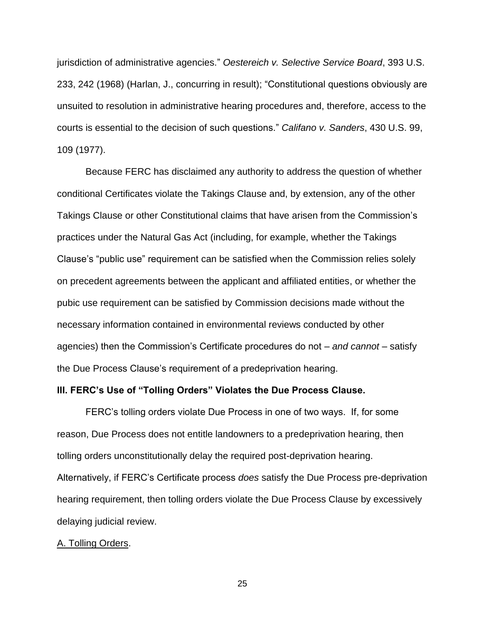jurisdiction of administrative agencies." *Oestereich v. Selective Service Board*, 393 U.S. 233, 242 (1968) (Harlan, J., concurring in result); "Constitutional questions obviously are unsuited to resolution in administrative hearing procedures and, therefore, access to the courts is essential to the decision of such questions." *Califano v. Sanders*, 430 U.S. 99, 109 (1977).

Because FERC has disclaimed any authority to address the question of whether conditional Certificates violate the Takings Clause and, by extension, any of the other Takings Clause or other Constitutional claims that have arisen from the Commission's practices under the Natural Gas Act (including, for example, whether the Takings Clause's "public use" requirement can be satisfied when the Commission relies solely on precedent agreements between the applicant and affiliated entities, or whether the pubic use requirement can be satisfied by Commission decisions made without the necessary information contained in environmental reviews conducted by other agencies) then the Commission's Certificate procedures do not – *and cannot* – satisfy the Due Process Clause's requirement of a predeprivation hearing.

#### **III. FERC's Use of "Tolling Orders" Violates the Due Process Clause.**

FERC's tolling orders violate Due Process in one of two ways. If, for some reason, Due Process does not entitle landowners to a predeprivation hearing, then tolling orders unconstitutionally delay the required post-deprivation hearing. Alternatively, if FERC's Certificate process *does* satisfy the Due Process pre-deprivation hearing requirement, then tolling orders violate the Due Process Clause by excessively delaying judicial review.

#### A. Tolling Orders.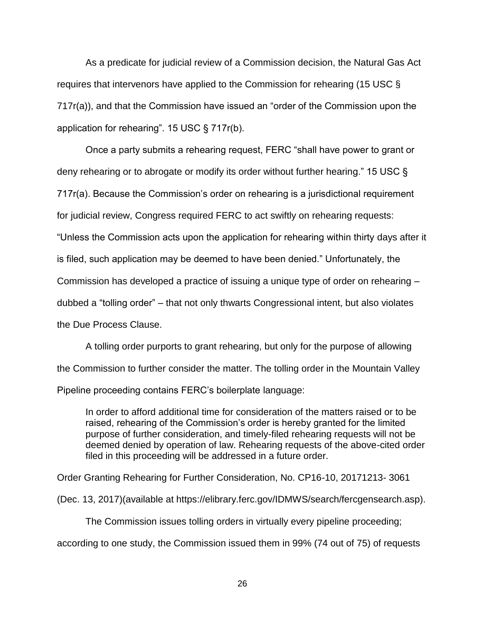As a predicate for judicial review of a Commission decision, the Natural Gas Act requires that intervenors have applied to the Commission for rehearing (15 USC § 717r(a)), and that the Commission have issued an "order of the Commission upon the application for rehearing". 15 USC § 717r(b).

Once a party submits a rehearing request, FERC "shall have power to grant or deny rehearing or to abrogate or modify its order without further hearing." 15 USC § 717r(a). Because the Commission's order on rehearing is a jurisdictional requirement for judicial review, Congress required FERC to act swiftly on rehearing requests: "Unless the Commission acts upon the application for rehearing within thirty days after it is filed, such application may be deemed to have been denied." Unfortunately, the Commission has developed a practice of issuing a unique type of order on rehearing – dubbed a "tolling order" – that not only thwarts Congressional intent, but also violates the Due Process Clause.

A tolling order purports to grant rehearing, but only for the purpose of allowing the Commission to further consider the matter. The tolling order in the Mountain Valley Pipeline proceeding contains FERC's boilerplate language:

In order to afford additional time for consideration of the matters raised or to be raised, rehearing of the Commission's order is hereby granted for the limited purpose of further consideration, and timely-filed rehearing requests will not be deemed denied by operation of law. Rehearing requests of the above-cited order filed in this proceeding will be addressed in a future order.

Order Granting Rehearing for Further Consideration, No. CP16-10, 20171213- 3061

(Dec. 13, 2017)(available at https://elibrary.ferc.gov/IDMWS/search/fercgensearch.asp).

The Commission issues tolling orders in virtually every pipeline proceeding;

according to one study, the Commission issued them in 99% (74 out of 75) of requests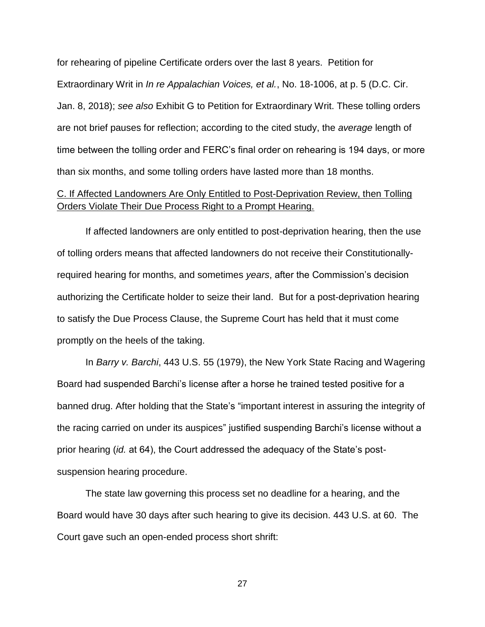for rehearing of pipeline Certificate orders over the last 8 years. Petition for Extraordinary Writ in *In re Appalachian Voices, et al.*, No. 18-1006, at p. 5 (D.C. Cir. Jan. 8, 2018); *see also* Exhibit G to Petition for Extraordinary Writ. These tolling orders are not brief pauses for reflection; according to the cited study, the *average* length of time between the tolling order and FERC's final order on rehearing is 194 days, or more than six months, and some tolling orders have lasted more than 18 months.

## C. If Affected Landowners Are Only Entitled to Post-Deprivation Review, then Tolling Orders Violate Their Due Process Right to a Prompt Hearing.

If affected landowners are only entitled to post-deprivation hearing, then the use of tolling orders means that affected landowners do not receive their Constitutionallyrequired hearing for months, and sometimes *years*, after the Commission's decision authorizing the Certificate holder to seize their land. But for a post-deprivation hearing to satisfy the Due Process Clause, the Supreme Court has held that it must come promptly on the heels of the taking.

In *Barry v. Barchi*, 443 U.S. 55 (1979), the New York State Racing and Wagering Board had suspended Barchi's license after a horse he trained tested positive for a banned drug. After holding that the State's "important interest in assuring the integrity of the racing carried on under its auspices" justified suspending Barchi's license without a prior hearing (*id.* at 64), the Court addressed the adequacy of the State's postsuspension hearing procedure.

The state law governing this process set no deadline for a hearing, and the Board would have 30 days after such hearing to give its decision. 443 U.S. at 60. The Court gave such an open-ended process short shrift: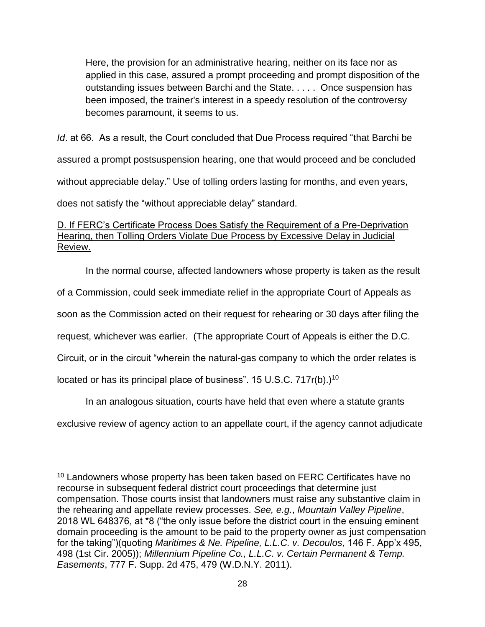Here, the provision for an administrative hearing, neither on its face nor as applied in this case, assured a prompt proceeding and prompt disposition of the outstanding issues between Barchi and the State. . . . . Once suspension has been imposed, the trainer's interest in a speedy resolution of the controversy becomes paramount, it seems to us.

*Id*. at 66. As a result, the Court concluded that Due Process required "that Barchi be assured a prompt postsuspension hearing, one that would proceed and be concluded without appreciable delay." Use of tolling orders lasting for months, and even years, does not satisfy the "without appreciable delay" standard.

## D. If FERC's Certificate Process Does Satisfy the Requirement of a Pre-Deprivation Hearing, then Tolling Orders Violate Due Process by Excessive Delay in Judicial Review.

In the normal course, affected landowners whose property is taken as the result of a Commission, could seek immediate relief in the appropriate Court of Appeals as soon as the Commission acted on their request for rehearing or 30 days after filing the request, whichever was earlier. (The appropriate Court of Appeals is either the D.C. Circuit, or in the circuit "wherein the natural-gas company to which the order relates is located or has its principal place of business". 15 U.S.C. 717r(b).)<sup>10</sup>

In an analogous situation, courts have held that even where a statute grants

exclusive review of agency action to an appellate court, if the agency cannot adjudicate

 $\overline{a}$ <sup>10</sup> Landowners whose property has been taken based on FERC Certificates have no recourse in subsequent federal district court proceedings that determine just compensation. Those courts insist that landowners must raise any substantive claim in the rehearing and appellate review processes. *See, e.g.*, *Mountain Valley Pipeline*, 2018 WL 648376, at \*8 ("the only issue before the district court in the ensuing eminent domain proceeding is the amount to be paid to the property owner as just compensation for the taking")(quoting *Maritimes & Ne. Pipeline, L.L.C. v. Decoulos*, 146 F. App'x 495, 498 (1st Cir. 2005)); *Millennium Pipeline Co., L.L.C. v. Certain Permanent & Temp. Easements*, 777 F. Supp. 2d 475, 479 (W.D.N.Y. 2011).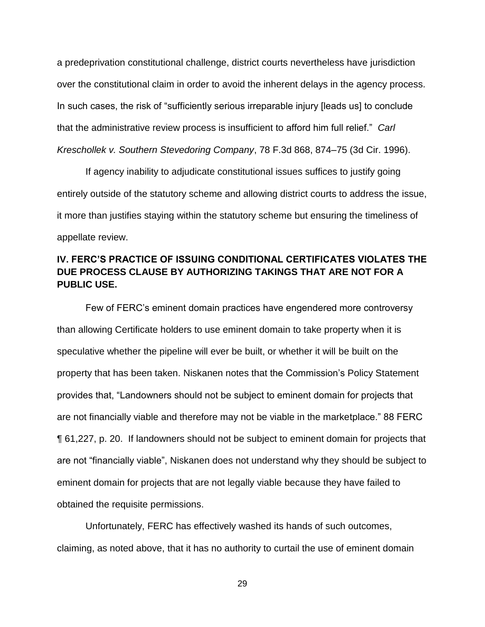a predeprivation constitutional challenge, district courts nevertheless have jurisdiction over the constitutional claim in order to avoid the inherent delays in the agency process. In such cases, the risk of "sufficiently serious irreparable injury [leads us] to conclude that the administrative review process is insufficient to afford him full relief." *Carl Kreschollek v. Southern Stevedoring Company*, 78 F.3d 868, 874–75 (3d Cir. 1996).

If agency inability to adjudicate constitutional issues suffices to justify going entirely outside of the statutory scheme and allowing district courts to address the issue, it more than justifies staying within the statutory scheme but ensuring the timeliness of appellate review.

# **IV. FERC'S PRACTICE OF ISSUING CONDITIONAL CERTIFICATES VIOLATES THE DUE PROCESS CLAUSE BY AUTHORIZING TAKINGS THAT ARE NOT FOR A PUBLIC USE.**

Few of FERC's eminent domain practices have engendered more controversy than allowing Certificate holders to use eminent domain to take property when it is speculative whether the pipeline will ever be built, or whether it will be built on the property that has been taken. Niskanen notes that the Commission's Policy Statement provides that, "Landowners should not be subject to eminent domain for projects that are not financially viable and therefore may not be viable in the marketplace." 88 FERC ¶ 61,227, p. 20. If landowners should not be subject to eminent domain for projects that are not "financially viable", Niskanen does not understand why they should be subject to eminent domain for projects that are not legally viable because they have failed to obtained the requisite permissions.

Unfortunately, FERC has effectively washed its hands of such outcomes, claiming, as noted above, that it has no authority to curtail the use of eminent domain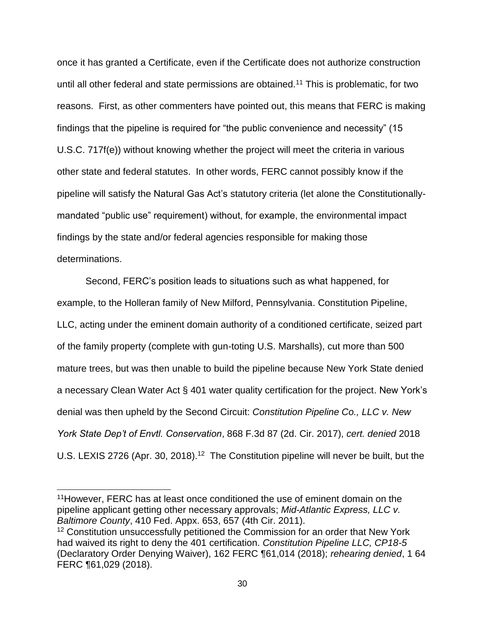once it has granted a Certificate, even if the Certificate does not authorize construction until all other federal and state permissions are obtained.<sup>11</sup> This is problematic, for two reasons. First, as other commenters have pointed out, this means that FERC is making findings that the pipeline is required for "the public convenience and necessity" (15 U.S.C. 717f(e)) without knowing whether the project will meet the criteria in various other state and federal statutes. In other words, FERC cannot possibly know if the pipeline will satisfy the Natural Gas Act's statutory criteria (let alone the Constitutionallymandated "public use" requirement) without, for example, the environmental impact findings by the state and/or federal agencies responsible for making those determinations.

Second, FERC's position leads to situations such as what happened, for example, to the Holleran family of New Milford, Pennsylvania. Constitution Pipeline, LLC, acting under the eminent domain authority of a conditioned certificate, seized part of the family property (complete with gun-toting U.S. Marshalls), cut more than 500 mature trees, but was then unable to build the pipeline because New York State denied a necessary Clean Water Act § 401 water quality certification for the project. New York's denial was then upheld by the Second Circuit: *Constitution Pipeline Co., LLC v. New York State Dep't of Envtl. Conservation*, 868 F.3d 87 (2d. Cir. 2017), *cert. denied* 2018 U.S. LEXIS 2726 (Apr. 30, 2018).<sup>12</sup> The Constitution pipeline will never be built, but the

<sup>11</sup>However, FERC has at least once conditioned the use of eminent domain on the pipeline applicant getting other necessary approvals; *Mid-Atlantic Express, LLC v. Baltimore County*, 410 Fed. Appx. 653, 657 (4th Cir. 2011).

<sup>&</sup>lt;sup>12</sup> Constitution unsuccessfully petitioned the Commission for an order that New York had waived its right to deny the 401 certification. *Constitution Pipeline LLC, CP18-5* (Declaratory Order Denying Waiver), 162 FERC ¶61,014 (2018); *rehearing denied*, 1 64 FERC ¶61,029 (2018).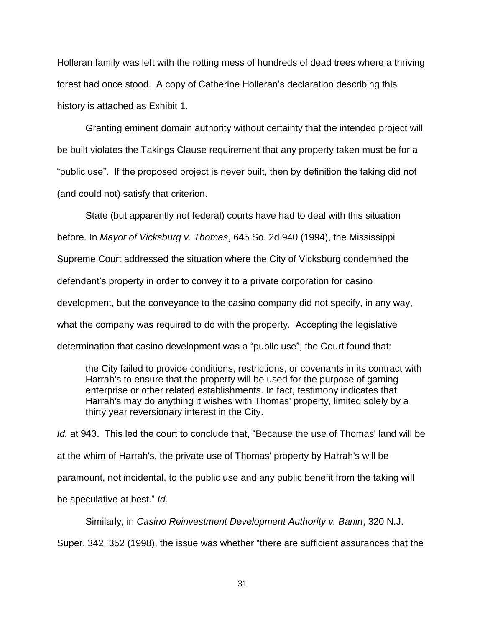Holleran family was left with the rotting mess of hundreds of dead trees where a thriving forest had once stood. A copy of Catherine Holleran's declaration describing this history is attached as Exhibit 1.

Granting eminent domain authority without certainty that the intended project will be built violates the Takings Clause requirement that any property taken must be for a "public use". If the proposed project is never built, then by definition the taking did not (and could not) satisfy that criterion.

State (but apparently not federal) courts have had to deal with this situation before. In *Mayor of Vicksburg v. Thomas*, 645 So. 2d 940 (1994), the Mississippi Supreme Court addressed the situation where the City of Vicksburg condemned the defendant's property in order to convey it to a private corporation for casino development, but the conveyance to the casino company did not specify, in any way, what the company was required to do with the property. Accepting the legislative determination that casino development was a "public use", the Court found that:

the City failed to provide conditions, restrictions, or covenants in its contract with Harrah's to ensure that the property will be used for the purpose of gaming enterprise or other related establishments. In fact, testimony indicates that Harrah's may do anything it wishes with Thomas' property, limited solely by a thirty year reversionary interest in the City.

*Id.* at 943. This led the court to conclude that, "Because the use of Thomas' land will be at the whim of Harrah's, the private use of Thomas' property by Harrah's will be paramount, not incidental, to the public use and any public benefit from the taking will be speculative at best." *Id*.

Similarly, in *Casino Reinvestment Development Authority v. Banin*, 320 N.J. Super. 342, 352 (1998), the issue was whether "there are sufficient assurances that the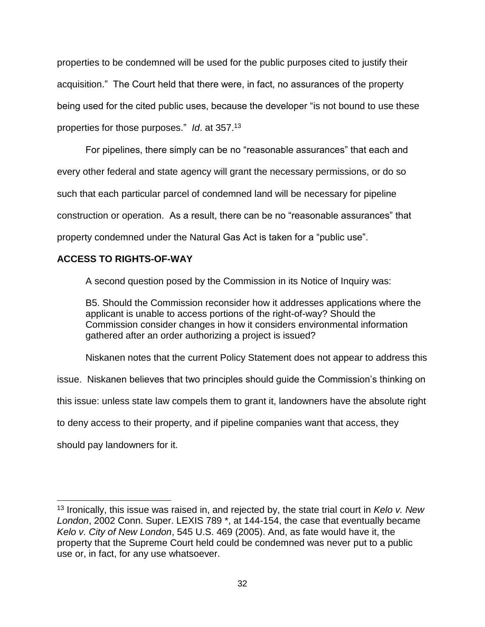properties to be condemned will be used for the public purposes cited to justify their acquisition." The Court held that there were, in fact, no assurances of the property being used for the cited public uses, because the developer "is not bound to use these properties for those purposes." *Id*. at 357.<sup>13</sup>

For pipelines, there simply can be no "reasonable assurances" that each and every other federal and state agency will grant the necessary permissions, or do so such that each particular parcel of condemned land will be necessary for pipeline construction or operation. As a result, there can be no "reasonable assurances" that property condemned under the Natural Gas Act is taken for a "public use".

# **ACCESS TO RIGHTS-OF-WAY**

A second question posed by the Commission in its Notice of Inquiry was:

B5. Should the Commission reconsider how it addresses applications where the applicant is unable to access portions of the right-of-way? Should the Commission consider changes in how it considers environmental information gathered after an order authorizing a project is issued?

Niskanen notes that the current Policy Statement does not appear to address this

issue. Niskanen believes that two principles should guide the Commission's thinking on

this issue: unless state law compels them to grant it, landowners have the absolute right

to deny access to their property, and if pipeline companies want that access, they

should pay landowners for it.

 <sup>13</sup> Ironically, this issue was raised in, and rejected by, the state trial court in *Kelo v. New London*, 2002 Conn. Super. LEXIS 789 \*, at 144-154, the case that eventually became *Kelo v. City of New London*, 545 U.S. 469 (2005). And, as fate would have it, the property that the Supreme Court held could be condemned was never put to a public use or, in fact, for any use whatsoever.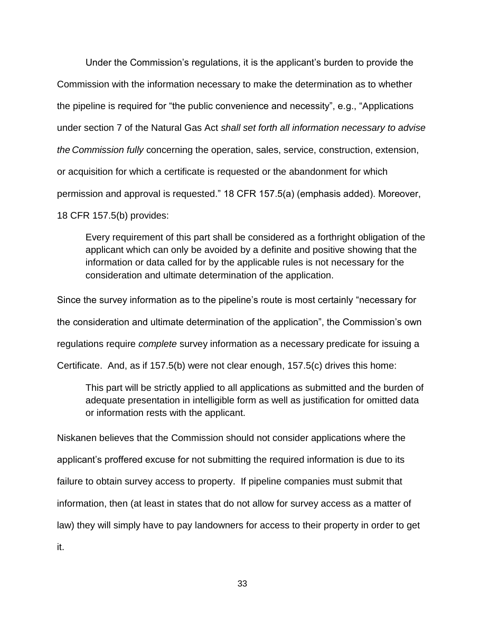Under the Commission's regulations, it is the applicant's burden to provide the Commission with the information necessary to make the determination as to whether the pipeline is required for "the public convenience and necessity", e.g., "Applications under section 7 of the Natural Gas Act *shall set forth all information necessary to advise the Commission fully* concerning the operation, sales, service, construction, extension, or acquisition for which a certificate is requested or the abandonment for which permission and approval is requested." 18 CFR 157.5(a) (emphasis added). Moreover, 18 CFR 157.5(b) provides:

Every requirement of this part shall be considered as a forthright obligation of the applicant which can only be avoided by a definite and positive showing that the information or data called for by the applicable rules is not necessary for the consideration and ultimate determination of the application.

Since the survey information as to the pipeline's route is most certainly "necessary for the consideration and ultimate determination of the application", the Commission's own regulations require *complete* survey information as a necessary predicate for issuing a Certificate. And, as if 157.5(b) were not clear enough, 157.5(c) drives this home:

This part will be strictly applied to all applications as submitted and the burden of adequate presentation in intelligible form as well as justification for omitted data or information rests with the applicant.

Niskanen believes that the Commission should not consider applications where the applicant's proffered excuse for not submitting the required information is due to its failure to obtain survey access to property. If pipeline companies must submit that information, then (at least in states that do not allow for survey access as a matter of law) they will simply have to pay landowners for access to their property in order to get it.